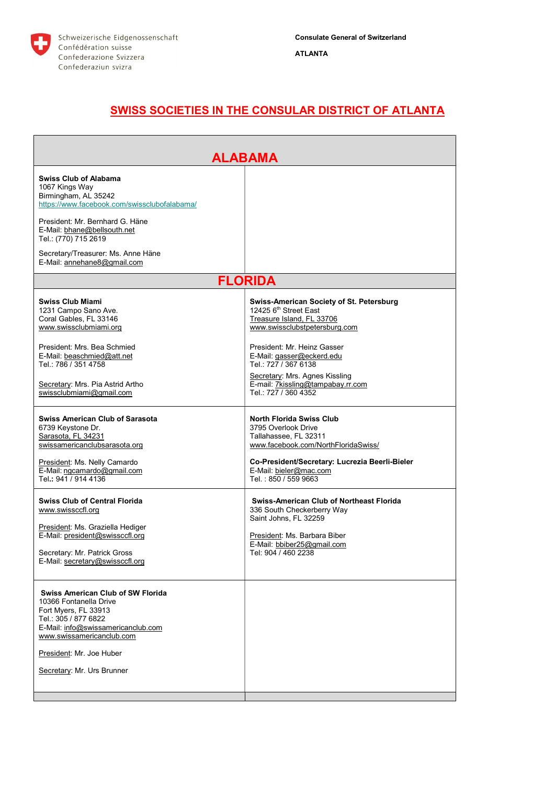

## SWISS SOCIETIES IN THE CONSULAR DISTRICT OF ATLANTA

| <b>ALABAMA</b>                                                                                                                                                                                                                                                                        |                                                                                                                                                                                                                                                                                                                               |  |
|---------------------------------------------------------------------------------------------------------------------------------------------------------------------------------------------------------------------------------------------------------------------------------------|-------------------------------------------------------------------------------------------------------------------------------------------------------------------------------------------------------------------------------------------------------------------------------------------------------------------------------|--|
| <b>Swiss Club of Alabama</b><br>1067 Kings Way<br>Birmingham, AL 35242<br>https://www.facebook.com/swissclubofalabama/<br>President: Mr. Bernhard G. Häne<br>E-Mail: bhane@bellsouth.net<br>Tel.: (770) 715 2619<br>Secretary/Treasurer: Ms. Anne Häne<br>E-Mail: annehane8@gmail.com |                                                                                                                                                                                                                                                                                                                               |  |
| <b>FLORIDA</b>                                                                                                                                                                                                                                                                        |                                                                                                                                                                                                                                                                                                                               |  |
| <b>Swiss Club Miami</b><br>1231 Campo Sano Ave.<br>Coral Gables, FL 33146<br>www.swissclubmiami.org<br>President: Mrs. Bea Schmied<br>E-Mail: beaschmied@att.net<br>Tel.: 786 / 351 4758<br>Secretary: Mrs. Pia Astrid Artho<br>swissclubmiami@gmail.com                              | Swiss-American Society of St. Petersburg<br>12425 6 <sup>th</sup> Street East<br>Treasure Island, FL 33706<br>www.swissclubstpetersburg.com<br>President: Mr. Heinz Gasser<br>E-Mail: gasser@eckerd.edu<br>Tel.: 727 / 367 6138<br>Secretary: Mrs. Agnes Kissling<br>E-mail: 7kissling@tampabay.rr.com<br>Tel: 727 / 360 4352 |  |
| <b>Swiss American Club of Sarasota</b><br>6739 Keystone Dr.<br>Sarasota, FL 34231<br>swissamericanclubsarasota.org<br>President: Ms. Nelly Camardo<br>E-Mail: ngcamardo@gmail.com<br>Tel.: 941 / 914 4136                                                                             | <b>North Florida Swiss Club</b><br>3795 Overlook Drive<br>Tallahassee, FL 32311<br>www.facebook.com/NorthFloridaSwiss/<br>Co-President/Secretary: Lucrezia Beerli-Bieler<br>E-Mail: bieler@mac.com<br>Tel.: 850 / 559 9663                                                                                                    |  |
| <b>Swiss Club of Central Florida</b><br>www.swissccfl.org<br>President: Ms. Graziella Hediger<br>E-Mail: president@swissccfl.org<br>Secretary: Mr. Patrick Gross<br>E-Mail: secretary@swissccfl.org                                                                                   | <b>Swiss-American Club of Northeast Florida</b><br>336 South Checkerberry Way<br>Saint Johns, FL 32259<br>President: Ms. Barbara Biber<br>E-Mail: bbiber25@gmail.com<br>Tel: 904 / 460 2238                                                                                                                                   |  |
| <b>Swiss American Club of SW Florida</b><br>10366 Fontanella Drive<br>Fort Myers, FL 33913<br>Tel.: 305 / 877 6822<br>E-Mail: info@swissamericanclub.com<br>www.swissamericanclub.com<br>President: Mr. Joe Huber<br>Secretary: Mr. Urs Brunner                                       |                                                                                                                                                                                                                                                                                                                               |  |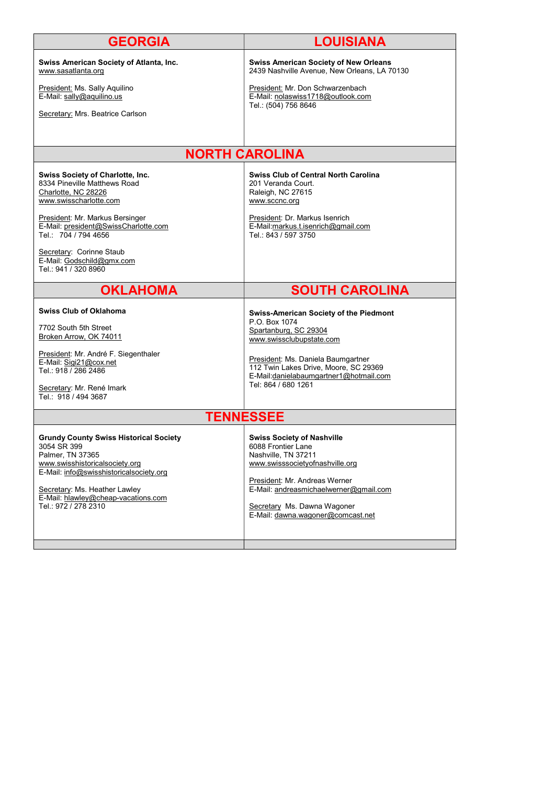| <b>GEORGIA</b>                                                                                                                                                                                                                                                | <b>LOUISIANA</b>                                                                                                                                                                                                                                                    |  |
|---------------------------------------------------------------------------------------------------------------------------------------------------------------------------------------------------------------------------------------------------------------|---------------------------------------------------------------------------------------------------------------------------------------------------------------------------------------------------------------------------------------------------------------------|--|
| Swiss American Society of Atlanta, Inc.<br>www.sasatlanta.org                                                                                                                                                                                                 | <b>Swiss American Society of New Orleans</b><br>2439 Nashville Avenue, New Orleans, LA 70130                                                                                                                                                                        |  |
| President: Ms. Sally Aquilino<br>E-Mail: sally@aquilino.us                                                                                                                                                                                                    | President: Mr. Don Schwarzenbach<br>E-Mail: nolaswiss1718@outlook.com<br>Tel.: (504) 756 8646                                                                                                                                                                       |  |
| Secretary: Mrs. Beatrice Carlson                                                                                                                                                                                                                              |                                                                                                                                                                                                                                                                     |  |
|                                                                                                                                                                                                                                                               |                                                                                                                                                                                                                                                                     |  |
| <b>NORTH CAROLINA</b>                                                                                                                                                                                                                                         |                                                                                                                                                                                                                                                                     |  |
| <b>Swiss Society of Charlotte, Inc.</b><br>8334 Pineville Matthews Road<br>Charlotte, NC 28226<br>www.swisscharlotte.com<br>President: Mr. Markus Bersinger<br>E-Mail: president@SwissCharlotte.com<br>Tel.: 704 / 794 4656                                   | <b>Swiss Club of Central North Carolina</b><br>201 Veranda Court.<br>Raleigh, NC 27615<br>www.sccnc.org<br>President: Dr. Markus Isenrich<br>E-Mail:markus.t.isenrich@gmail.com<br>Tel.: 843 / 597 3750                                                             |  |
| Secretary: Corinne Staub<br>E-Mail: Godschild@gmx.com<br>Tel.: 941 / 320 8960                                                                                                                                                                                 |                                                                                                                                                                                                                                                                     |  |
| <b>OKLAHOMA</b>                                                                                                                                                                                                                                               | <b>SOUTH CAROLINA</b>                                                                                                                                                                                                                                               |  |
| <b>Swiss Club of Oklahoma</b><br>7702 South 5th Street<br>Broken Arrow, OK 74011<br>President: Mr. André F. Siegenthaler<br>E-Mail: Sigi21@cox.net<br>Tel.: 918 / 286 2486<br>Secretary: Mr. René Imark<br>Tel.: 918 / 494 3687                               | <b>Swiss-American Society of the Piedmont</b><br>P.O. Box 1074<br>Spartanburg, SC 29304<br>www.swissclubupstate.com<br>President: Ms. Daniela Baumgartner<br>112 Twin Lakes Drive, Moore, SC 29369<br>E-Mail:danielabaumgartner1@hotmail.com<br>Tel: 864 / 680 1261 |  |
| <b>TENNESSEE</b>                                                                                                                                                                                                                                              |                                                                                                                                                                                                                                                                     |  |
| <b>Grundy County Swiss Historical Society</b><br>3054 SR 399<br>Palmer, TN 37365<br>www.swisshistoricalsociety.org<br>E-Mail: info@swisshistoricalsociety.org<br>Secretary: Ms. Heather Lawley<br>E-Mail: hlawley@cheap-vacations.com<br>Tel.: 972 / 278 2310 | <b>Swiss Society of Nashville</b><br>6088 Frontier Lane<br>Nashville, TN 37211<br>www.swisssocietyofnashville.org<br>President: Mr. Andreas Werner<br>E-Mail: andreasmichaelwerner@gmail.com<br>Secretary Ms. Dawna Wagoner<br>E-Mail: dawna.wagoner@comcast.net    |  |